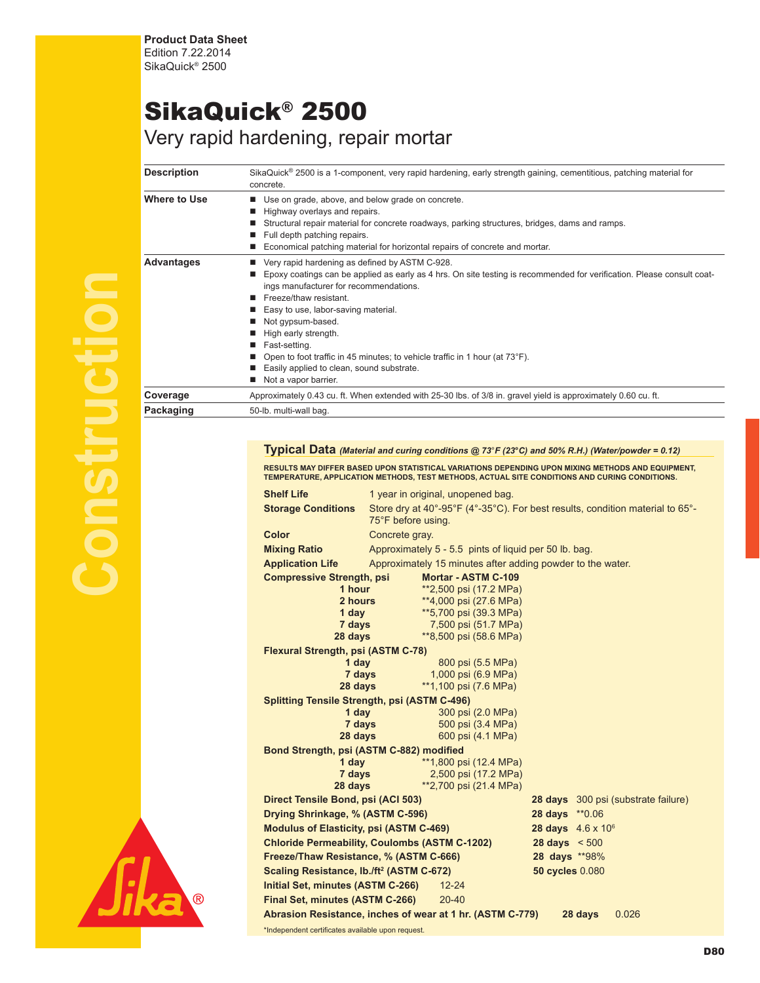**Product Data Sheet** Edition 7.22.2014 SikaQuick® 2500

## SikaQuick® 2500 Very rapid hardening, repair mortar

## Description SikaQuick<sup>®</sup> 2500 is a 1-component, very rapid hardening, early strength gaining, cementitious, patching material for concrete. Where to Use **n** Use on grade, above, and below grade on concrete. Highway overlays and repairs. **n** Structural repair material for concrete roadways, parking structures, bridges, dams and ramps.  $\blacksquare$  Full depth patching repairs. ■ Economical patching material for horizontal repairs of concrete and mortar. **Advantages ■** Very rapid hardening as defined by ASTM C-928. ■ Epoxy coatings can be applied as early as 4 hrs. On site testing is recommended for verification. Please consult coatings manufacturer for recommendations. Freeze/thaw resistant. ■ Easy to use, labor-saving material. Not gypsum-based. ■ High early strength. Fast-setting. ■ Open to foot traffic in 45 minutes; to vehicle traffic in 1 hour (at 73°F). ■ Easily applied to clean, sound substrate. Not a vapor barrier. **Coverage** Approximately 0.43 cu. ft. When extended with 25-30 lbs. of 3/8 in. gravel yield is approximately 0.60 cu. ft. Packaging 50-lb. multi-wall bag.

## **Typical Data** *(Material and curing conditions @ 73*°*F (23***°***C) and 50% R.H.) (Water/powder = 0.12)*

RESULTS MAY DIFFER BASED UPON STATISTICAL VARIATIONS DEPENDING UPON MIXING METHODS AND EQUIPMENT,<br>TEMPERATURE, APPLICATION METHODS, TEST METHODS, ACTUAL SITE CONDITIONS AND CURING CONDITIONS.

| <b>Shelf Life</b>                                         |                                                                                                     | 1 year in original, unopened bag.                          |                 |         |                                            |
|-----------------------------------------------------------|-----------------------------------------------------------------------------------------------------|------------------------------------------------------------|-----------------|---------|--------------------------------------------|
| <b>Storage Conditions</b>                                 | Store dry at 40°-95°F (4°-35°C). For best results, condition material to 65°-<br>75°F before using. |                                                            |                 |         |                                            |
| <b>Color</b>                                              | Concrete gray.                                                                                      |                                                            |                 |         |                                            |
| <b>Mixing Ratio</b>                                       |                                                                                                     | Approximately 5 - 5.5 pints of liquid per 50 lb. bag.      |                 |         |                                            |
| <b>Application Life</b>                                   |                                                                                                     | Approximately 15 minutes after adding powder to the water. |                 |         |                                            |
| <b>Compressive Strength, psi</b>                          |                                                                                                     | Mortar - ASTM C-109                                        |                 |         |                                            |
| 1 hour                                                    |                                                                                                     | **2,500 psi (17.2 MPa)                                     |                 |         |                                            |
| 2 hours                                                   |                                                                                                     | **4,000 psi (27.6 MPa)                                     |                 |         |                                            |
| 1 day                                                     |                                                                                                     | **5,700 psi (39.3 MPa)                                     |                 |         |                                            |
| 7 days                                                    |                                                                                                     | 7,500 psi (51.7 MPa)                                       |                 |         |                                            |
| 28 days                                                   |                                                                                                     | **8,500 psi (58.6 MPa)                                     |                 |         |                                            |
| <b>Flexural Strength, psi (ASTM C-78)</b>                 |                                                                                                     |                                                            |                 |         |                                            |
| 1 day                                                     |                                                                                                     | 800 psi (5.5 MPa)                                          |                 |         |                                            |
|                                                           | 7 days                                                                                              | 1,000 psi (6.9 MPa)                                        |                 |         |                                            |
| 28 days                                                   |                                                                                                     | **1,100 psi (7.6 MPa)                                      |                 |         |                                            |
| <b>Splitting Tensile Strength, psi (ASTM C-496)</b>       |                                                                                                     |                                                            |                 |         |                                            |
| 1 day                                                     |                                                                                                     | 300 psi (2.0 MPa)                                          |                 |         |                                            |
| 28 days                                                   | 7 days                                                                                              | 500 psi (3.4 MPa)<br>600 psi (4.1 MPa)                     |                 |         |                                            |
|                                                           |                                                                                                     |                                                            |                 |         |                                            |
| Bond Strength, psi (ASTM C-882) modified<br>1 day         |                                                                                                     | **1,800 psi (12.4 MPa)                                     |                 |         |                                            |
| 7 days                                                    |                                                                                                     | 2,500 psi (17.2 MPa)                                       |                 |         |                                            |
| 28 days                                                   |                                                                                                     | **2,700 psi (21.4 MPa)                                     |                 |         |                                            |
| Direct Tensile Bond, psi (ACI 503)                        |                                                                                                     |                                                            |                 |         | <b>28 days</b> 300 psi (substrate failure) |
| Drying Shrinkage, % (ASTM C-596)                          |                                                                                                     |                                                            | 28 days **0.06  |         |                                            |
| <b>Modulus of Elasticity, psi (ASTM C-469)</b>            |                                                                                                     | 28 days $4.6 \times 10^6$                                  |                 |         |                                            |
| <b>Chloride Permeability, Coulombs (ASTM C-1202)</b>      |                                                                                                     | $28 \text{ days} < 500$                                    |                 |         |                                            |
| Freeze/Thaw Resistance, % (ASTM C-666)                    |                                                                                                     | 28 days **98%                                              |                 |         |                                            |
| Scaling Resistance, Ib./ft <sup>2</sup> (ASTM C-672)      |                                                                                                     |                                                            | 50 cycles 0.080 |         |                                            |
| Initial Set, minutes (ASTM C-266)                         |                                                                                                     | $12 - 24$                                                  |                 |         |                                            |
| Final Set, minutes (ASTM C-266)                           |                                                                                                     | $20 - 40$                                                  |                 |         |                                            |
| Abrasion Resistance, inches of wear at 1 hr. (ASTM C-779) |                                                                                                     |                                                            |                 | 28 days | 0.026                                      |
| *Independent certificates available upon request.         |                                                                                                     |                                                            |                 |         |                                            |